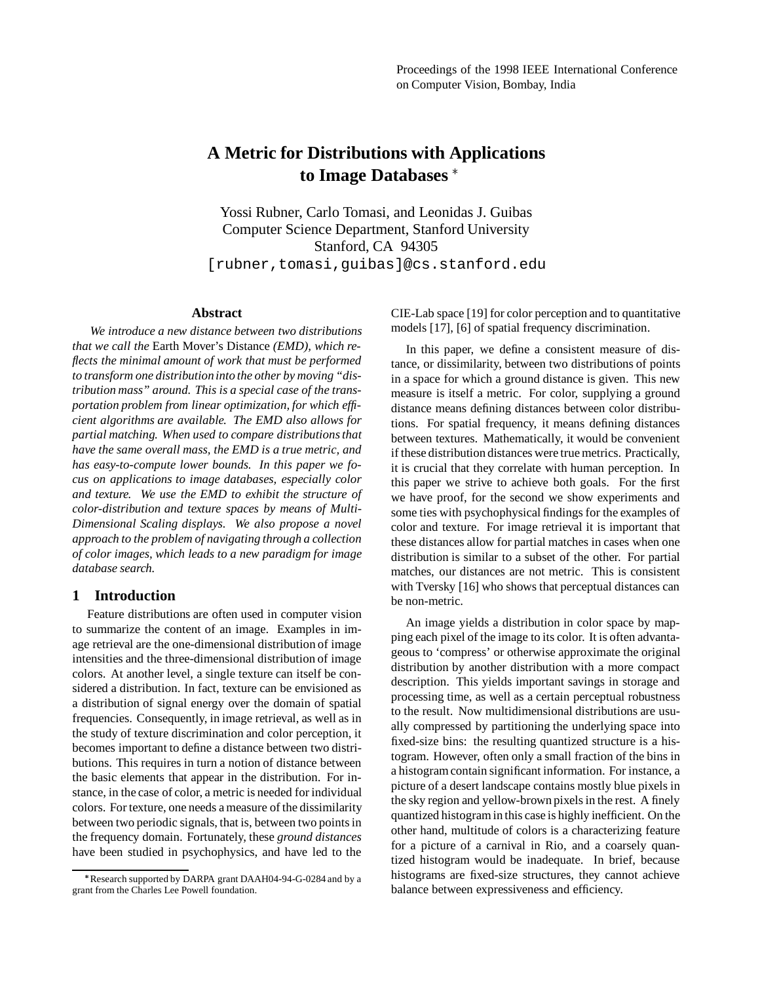# **A Metric for Distributions with Applications to Image Databases**

Yossi Rubner, Carlo Tomasi, and Leonidas J. Guibas Computer Science Department, Stanford University Stanford, CA 94305 [rubner,tomasi,guibas]@cs.stanford.edu

## **Abstract**

*We introduce a new distance between two distributions that we call the* Earth Mover's Distance *(EMD), which reflects the minimal amount of work that must be performed to transform one distributioninto the other by moving "distribution mass" around. This is a special case of the transportation problem from linear optimization, for which efficient algorithms are available. The EMD also allows for partial matching. When used to compare distributions that have the same overall mass, the EMD is a true metric, and has easy-to-compute lower bounds. In this paper we focus on applications to image databases, especially color and texture. We use the EMD to exhibit the structure of color-distribution and texture spaces by means of Multi-Dimensional Scaling displays. We also propose a novel approach to the problem of navigating through a collection of color images, which leads to a new paradigm for image database search.*

# **1 Introduction**

Feature distributions are often used in computer vision to summarize the content of an image. Examples in image retrieval are the one-dimensional distribution of image intensities and the three-dimensional distribution of image colors. At another level, a single texture can itself be considered a distribution. In fact, texture can be envisioned as a distribution of signal energy over the domain of spatial frequencies. Consequently, in image retrieval, as well as in the study of texture discrimination and color perception, it becomes important to define a distance between two distributions. This requires in turn a notion of distance between the basic elements that appear in the distribution. For instance, in the case of color, a metric is needed for individual colors. For texture, one needs a measure of the dissimilarity between two periodic signals, that is, between two points in the frequency domain. Fortunately, these *ground distances* have been studied in psychophysics, and have led to the

CIE-Lab space [19] for color perception and to quantitative models [17], [6] of spatial frequency discrimination.

In this paper, we define a consistent measure of distance, or dissimilarity, between two distributions of points in a space for which a ground distance is given. This new measure is itself a metric. For color, supplying a ground distance means defining distances between color distributions. For spatial frequency, it means defining distances between textures. Mathematically, it would be convenient if these distribution distances were true metrics. Practically, it is crucial that they correlate with human perception. In this paper we strive to achieve both goals. For the first we have proof, for the second we show experiments and some ties with psychophysical findings for the examples of color and texture. For image retrieval it is important that these distances allow for partial matches in cases when one distribution is similar to a subset of the other. For partial matches, our distances are not metric. This is consistent with Tversky [16] who shows that perceptual distances can be non-metric.

An image yields a distribution in color space by mapping each pixel of the image to its color. It is often advantageous to 'compress' or otherwise approximate the original distribution by another distribution with a more compact description. This yields important savings in storage and processing time, as well as a certain perceptual robustness to the result. Now multidimensional distributions are usually compressed by partitioning the underlying space into fixed-size bins: the resulting quantized structure is a histogram. However, often only a small fraction of the bins in a histogram contain significant information. For instance, a picture of a desert landscape contains mostly blue pixels in the sky region and yellow-brown pixels in the rest. A finely quantized histogram in this case is highly inefficient. On the other hand, multitude of colors is a characterizing feature for a picture of a carnival in Rio, and a coarsely quantized histogram would be inadequate. In brief, because histograms are fixed-size structures, they cannot achieve balance between expressiveness and efficiency.

Research supported by DARPA grant DAAH04-94-G-0284 and by a grant from the Charles Lee Powell foundation.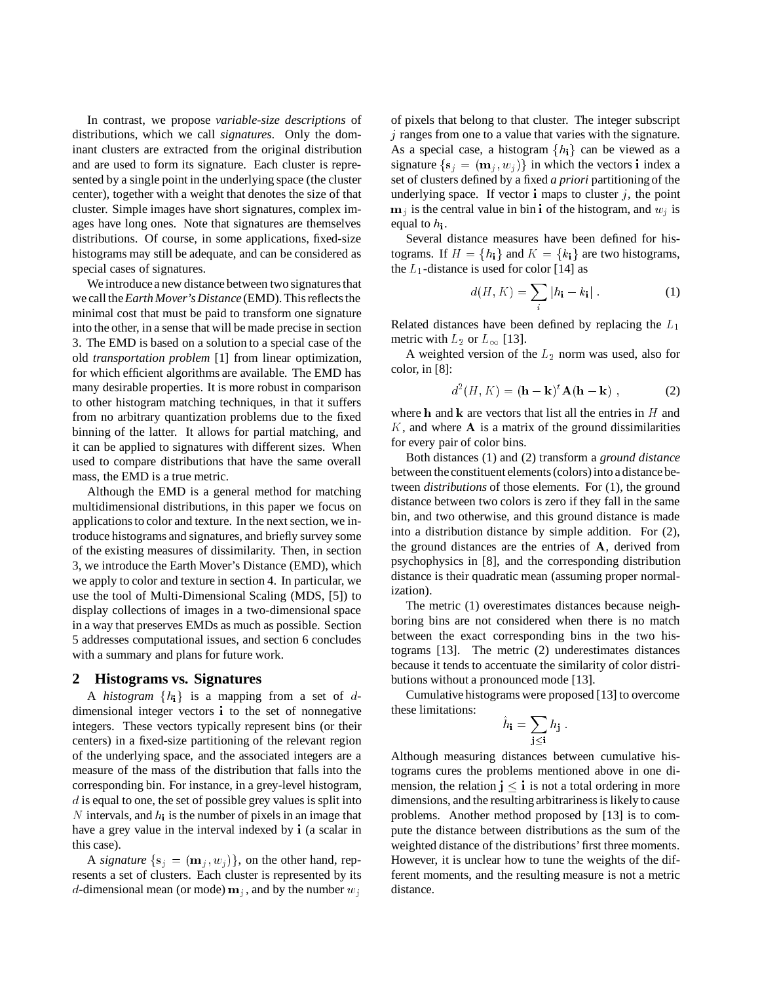In contrast, we propose *variable-size descriptions* of distributions, which we call *signatures*. Only the dominant clusters are extracted from the original distribution and are used to form its signature. Each cluster is represented by a single point in the underlying space (the cluster center), together with a weight that denotes the size of that cluster. Simple images have short signatures, complex images have long ones. Note that signatures are themselves distributions. Of course, in some applications, fixed-size histograms may still be adequate, and can be considered as special cases of signatures.

We introduce a new distance between two signatures that we call the*Earth Mover's Distance* (EMD). This reflects the minimal cost that must be paid to transform one signature into the other, in a sense that will be made precise in section 3. The EMD is based on a solution to a special case of the old *transportation problem* [1] from linear optimization, for which efficient algorithms are available. The EMD has many desirable properties. It is more robust in comparison to other histogram matching techniques, in that it suffers from no arbitrary quantization problems due to the fixed binning of the latter. It allows for partial matching, and it can be applied to signatures with different sizes. When used to compare distributions that have the same overall mass, the EMD is a true metric.

Although the EMD is a general method for matching multidimensional distributions, in this paper we focus on applications to color and texture. In the next section, we introduce histograms and signatures, and briefly survey some of the existing measures of dissimilarity. Then, in section 3, we introduce the Earth Mover's Distance (EMD), which we apply to color and texture in section 4. In particular, we use the tool of Multi-Dimensional Scaling (MDS, [5]) to display collections of images in a two-dimensional space in a way that preserves EMDs as much as possible. Section 5 addresses computational issues, and section 6 concludes with a summary and plans for future work.

### **2 Histograms vs. Signatures**

A *histogram*  $\{h_i\}$  is a mapping from a set of  $d$ dimensional integer vectors i to the set of nonnegative integers. These vectors typically represent bins (or their centers) in a fixed-size partitioning of the relevant region of the underlying space, and the associated integers are a measure of the mass of the distribution that falls into the corresponding bin. For instance, in a grey-level histogram,  $d$  is equal to one, the set of possible grey values is split into  $N$  intervals, and  $h_i$  is the number of pixels in an image that have a grey value in the interval indexed by <sup>i</sup> (a scalar in this case).

A *signature*  ${s_j = (m_j, w_j)}$ , on the other hand, represents a set of clusters. Each cluster is represented by its d-dimensional mean (or mode)  $\mathbf{m}_i$ , and by the number  $w_i$  of pixels that belong to that cluster. The integer subscript  $j$  ranges from one to a value that varies with the signature. As a special case, a histogram  $\{h_i\}$  can be viewed as a signature  $\{s_i = (m_i, w_i)\}\$ in which the vectors i index a set of clusters defined by a fixed *a priori* partitioning of the underlying space. If vector  $\mathbf i$  maps to cluster  $\mathbf j$ , the point  $m_i$  is the central value in bin i of the histogram, and  $w_i$  is equal to  $h_{\mathbf{i}}$ .

Several distance measures have been defined for histograms. If  $H = \{h_i\}$  and  $K = \{k_i\}$  are two histograms, the  $L_1$ -distance is used for color [14] as

$$
d(H, K) = \sum_{i} |h_{i} - k_{i}|.
$$
 (1)

Related distances have been defined by replacing the  $L_1$ metric with  $L_2$  or  $L_{\infty}$  [13].

A weighted version of the  $L_2$  norm was used, also for color, in [8]:

$$
d^{2}(H, K) = (\mathbf{h} - \mathbf{k})^{t} \mathbf{A} (\mathbf{h} - \mathbf{k}) , \qquad (2)
$$

where  $h$  and  $k$  are vectors that list all the entries in  $H$  and  $K$ , and where  $A$  is a matrix of the ground dissimilarities for every pair of color bins.

Both distances (1) and (2) transform a *ground distance* between the constituent elements (colors) into a distance between *distributions* of those elements. For (1), the ground distance between two colors is zero if they fall in the same bin, and two otherwise, and this ground distance is made into a distribution distance by simple addition. For (2), the ground distances are the entries of A, derived from psychophysics in [8], and the corresponding distribution distance is their quadratic mean (assuming proper normalization).

The metric (1) overestimates distances because neighboring bins are not considered when there is no match between the exact corresponding bins in the two histograms [13]. The metric (2) underestimates distances because it tends to accentuate the similarity of color distributions without a pronounced mode [13].

Cumulative histograms were proposed [13] to overcome these limitations:

$$
\hat{h}_{\mathbf{i}} = \sum_{\mathbf{j} \leq \mathbf{i}} h_{\mathbf{j}} \; .
$$

Although measuring distances between cumulative histograms cures the problems mentioned above in one dimension, the relation  $j \leq i$  is not a total ordering in more dimensions, and the resulting arbitrariness is likely to cause problems. Another method proposed by [13] is to compute the distance between distributions as the sum of the weighted distance of the distributions' first three moments. However, it is unclear how to tune the weights of the different moments, and the resulting measure is not a metric distance.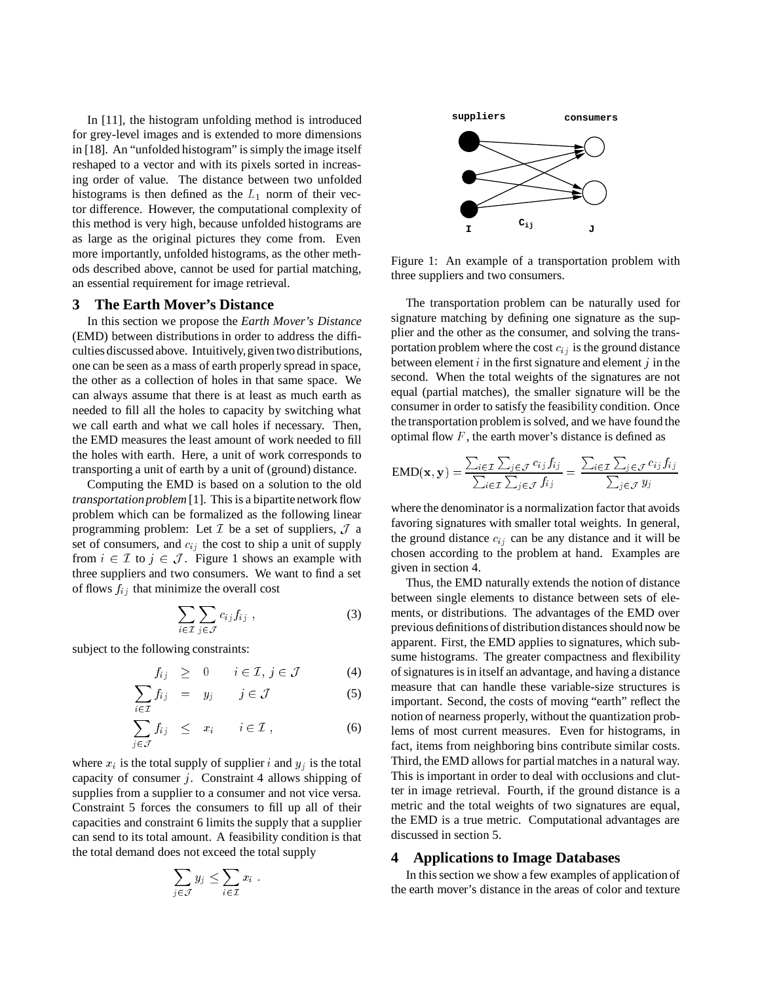In [11], the histogram unfolding method is introduced for grey-level images and is extended to more dimensions in [18]. An "unfolded histogram" is simply the image itself reshaped to a vector and with its pixels sorted in increasing order of value. The distance between two unfolded histograms is then defined as the  $L_1$  norm of their vector difference. However, the computational complexity of this method is very high, because unfolded histograms are as large as the original pictures they come from. Even more importantly, unfolded histograms, as the other methods described above, cannot be used for partial matching, an essential requirement for image retrieval.

## **3 The Earth Mover's Distance**

In this section we propose the *Earth Mover's Distance* (EMD) between distributions in order to address the difficulties discussed above. Intuitively,given two distributions, one can be seen as a mass of earth properly spread in space, the other as a collection of holes in that same space. We can always assume that there is at least as much earth as needed to fill all the holes to capacity by switching what we call earth and what we call holes if necessary. Then, the EMD measures the least amount of work needed to fill the holes with earth. Here, a unit of work corresponds to transporting a unit of earth by a unit of (ground) distance.

Computing the EMD is based on a solution to the old *transportationproblem* [1]. This is a bipartite network flow problem which can be formalized as the following linear programming problem: Let  $\mathcal I$  be a set of suppliers,  $\mathcal J$  a set of consumers, and  $c_{ij}$  the cost to ship a unit of supply from  $i \in \mathcal{I}$  to  $j \in \mathcal{J}$ . Figure 1 shows an example with three suppliers and two consumers. We want to find a set of flows  $f_{ij}$  that minimize the overall cost

$$
\sum_{i \in \mathcal{I}} \sum_{j \in \mathcal{J}} c_{ij} f_{ij} , \qquad (3)
$$

subject to the following constraints:

$$
f_{ij} \geq 0 \qquad i \in \mathcal{I}, \, j \in \mathcal{J} \tag{4}
$$

$$
\sum_{i \in \mathcal{I}} f_{ij} = y_j \qquad j \in \mathcal{J} \tag{5}
$$

$$
\sum_{j\in\mathcal{J}}f_{ij} \leq x_i \qquad i\in\mathcal{I},\tag{6}
$$

where  $x_i$  is the total supply of supplier i and  $y_j$  is the total capacity of consumer  $j$ . Constraint 4 allows shipping of supplies from a supplier to a consumer and not vice versa. Constraint 5 forces the consumers to fill up all of their capacities and constraint 6 limits the supply that a supplier can send to its total amount. A feasibility condition is that the total demand does not exceed the total supply

$$
\sum_{j \in \mathcal{J}} y_j \leq \sum_{i \in \mathcal{I}} x_i .
$$



Figure 1: An example of a transportation problem with three suppliers and two consumers.

The transportation problem can be naturally used for signature matching by defining one signature as the supplier and the other as the consumer, and solving the transportation problem where the cost  $c_{ij}$  is the ground distance between element  $i$  in the first signature and element  $j$  in the second. When the total weights of the signatures are not equal (partial matches), the smaller signature will be the consumer in order to satisfy the feasibility condition. Once the transportation problem is solved, and we have found the optimal flow  $F$ , the earth mover's distance is defined as

$$
EMD(\mathbf{x}, \mathbf{y}) = \frac{\sum_{i \in \mathcal{I}} \sum_{j \in \mathcal{J}} c_{ij} f_{ij}}{\sum_{i \in \mathcal{I}} \sum_{j \in \mathcal{J}} f_{ij}} = \frac{\sum_{i \in \mathcal{I}} \sum_{j \in \mathcal{J}} c_{ij} f_{ij}}{\sum_{j \in \mathcal{J}} y_j}
$$

where the denominator is a normalization factor that avoids favoring signatures with smaller total weights. In general, the ground distance  $c_{ij}$  can be any distance and it will be chosen according to the problem at hand. Examples are given in section 4.

Thus, the EMD naturally extends the notion of distance between single elements to distance between sets of elements, or distributions. The advantages of the EMD over previous definitions of distributiondistances should now be apparent. First, the EMD applies to signatures, which subsume histograms. The greater compactness and flexibility of signatures is in itself an advantage, and having a distance measure that can handle these variable-size structures is important. Second, the costs of moving "earth" reflect the notion of nearness properly, without the quantization problems of most current measures. Even for histograms, in fact, items from neighboring bins contribute similar costs. Third, the EMD allows for partial matches in a natural way. This is important in order to deal with occlusions and clutter in image retrieval. Fourth, if the ground distance is a metric and the total weights of two signatures are equal, the EMD is a true metric. Computational advantages are discussed in section 5.

## **4 Applications to Image Databases**

In this section we show a few examples of application of the earth mover's distance in the areas of color and texture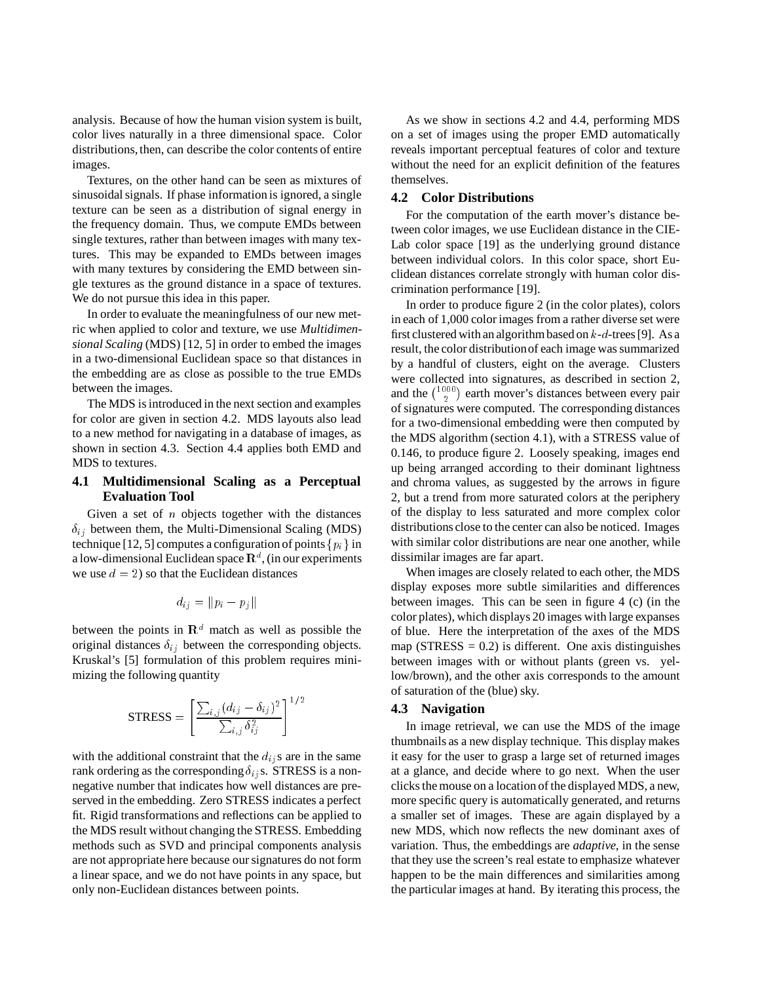analysis. Because of how the human vision system is built, color lives naturally in a three dimensional space. Color distributions, then, can describe the color contents of entire images.

Textures, on the other hand can be seen as mixtures of sinusoidal signals. If phase information is ignored, a single texture can be seen as a distribution of signal energy in the frequency domain. Thus, we compute EMDs between single textures, rather than between images with many textures. This may be expanded to EMDs between images with many textures by considering the EMD between single textures as the ground distance in a space of textures. We do not pursue this idea in this paper.

In order to evaluate the meaningfulness of our new metric when applied to color and texture, we use *Multidimensional Scaling* (MDS) [12, 5] in order to embed the images in a two-dimensional Euclidean space so that distances in the embedding are as close as possible to the true EMDs between the images.

The MDS is introduced in the next section and examples for color are given in section 4.2. MDS layouts also lead to a new method for navigating in a database of images, as shown in section 4.3. Section 4.4 applies both EMD and MDS to textures.

## **4.1 Multidimensional Scaling as a Perceptual Evaluation Tool**

Given a set of  $n$  objects together with the distances  $\delta_{ij}$  between them, the Multi-Dimensional Scaling (MDS) technique [12, 5] computes a configuration of points  $\{p_i\}$  in a low-dimensional Euclidean space  $\mathbf{R}^d$ , (in our experiments we use  $d = 2$ ) so that the Euclidean distances

$$
d_{ij} = ||p_i - p_j||
$$

between the points in  $\mathbb{R}^d$  match as well as possible the original distances  $\delta_{ij}$  between the corresponding objects. Kruskal's [5] formulation of this problem requires minimizing the following quantity

$$
\text{STRESS} = \left[ \frac{\sum_{i,j} (d_{ij} - \delta_{ij})^2}{\sum_{i,j} \delta_{ij}^2} \right]^{1/2}
$$

with the additional constraint that the  $d_{ij}$ s are in the same rank ordering as the corresponding  $\delta_{ij}$ s. STRESS is a nonnegative number that indicates how well distances are preserved in the embedding. Zero STRESS indicates a perfect fit. Rigid transformations and reflections can be applied to the MDS result without changing the STRESS. Embedding methods such as SVD and principal components analysis are not appropriate here because our signatures do not form a linear space, and we do not have points in any space, but only non-Euclidean distances between points.

As we show in sections 4.2 and 4.4, performing MDS on a set of images using the proper EMD automatically reveals important perceptual features of color and texture without the need for an explicit definition of the features themselves.

### **4.2 Color Distributions**

For the computation of the earth mover's distance between color images, we use Euclidean distance in the CIE-Lab color space [19] as the underlying ground distance between individual colors. In this color space, short Euclidean distances correlate strongly with human color discrimination performance [19].

In order to produce figure 2 (in the color plates), colors in each of 1,000 color images from a rather diverse set were first clustered with an algorithm based on  $k-d$ -trees [9]. As a result, the color distributionof each image was summarized by a handful of clusters, eight on the average. Clusters were collected into signatures, as described in section 2, and the  $\binom{1000}{2}$  earth mover's distances between every pair of signatures were computed. The corresponding distances for a two-dimensional embedding were then computed by the MDS algorithm (section 4.1), with a STRESS value of 0.146, to produce figure 2. Loosely speaking, images end up being arranged according to their dominant lightness and chroma values, as suggested by the arrows in figure 2, but a trend from more saturated colors at the periphery of the display to less saturated and more complex color distributions close to the center can also be noticed. Images with similar color distributions are near one another, while dissimilar images are far apart.

When images are closely related to each other, the MDS display exposes more subtle similarities and differences between images. This can be seen in figure 4 (c) (in the color plates), which displays 20 images with large expanses of blue. Here the interpretation of the axes of the MDS map ( $STRESS = 0.2$ ) is different. One axis distinguishes between images with or without plants (green vs. yellow/brown), and the other axis corresponds to the amount of saturation of the (blue) sky.

## **4.3 Navigation**

In image retrieval, we can use the MDS of the image thumbnails as a new display technique. This display makes it easy for the user to grasp a large set of returned images at a glance, and decide where to go next. When the user clicks the mouse on a location of the displayed MDS, a new, more specific query is automatically generated, and returns a smaller set of images. These are again displayed by a new MDS, which now reflects the new dominant axes of variation. Thus, the embeddings are *adaptive*, in the sense that they use the screen's real estate to emphasize whatever happen to be the main differences and similarities among the particular images at hand. By iterating this process, the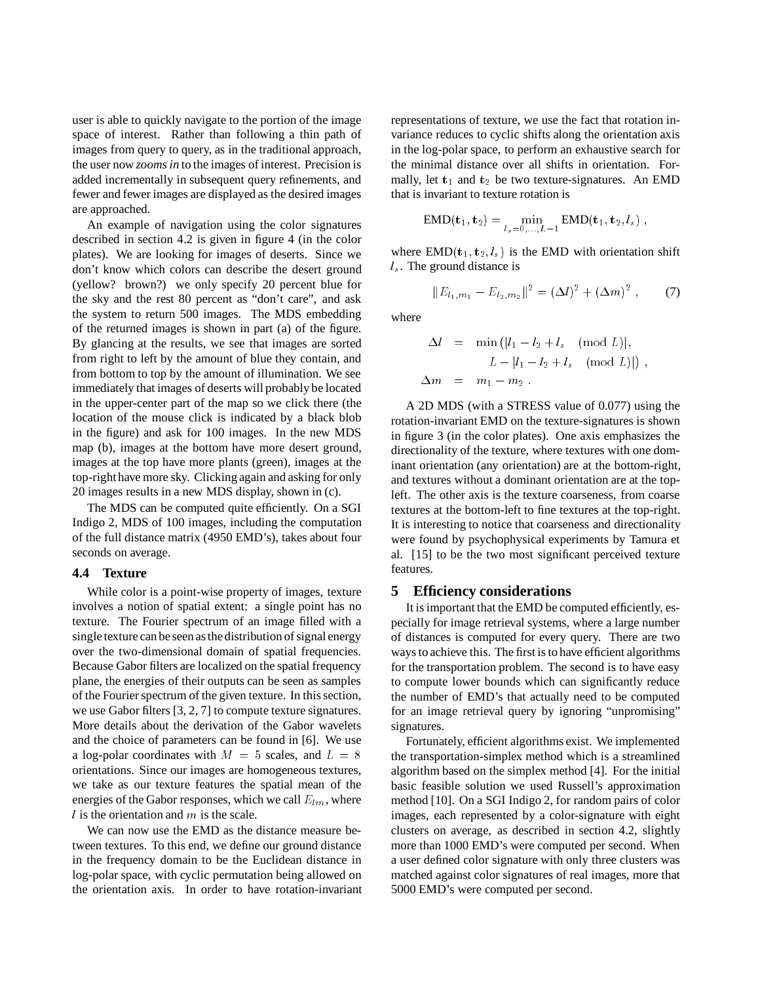user is able to quickly navigate to the portion of the image space of interest. Rather than following a thin path of images from query to query, as in the traditional approach, the user now *zooms in* to the images of interest. Precision is added incrementally in subsequent query refinements, and fewer and fewer images are displayed as the desired images are approached.

An example of navigation using the color signatures described in section 4.2 is given in figure 4 (in the color plates). We are looking for images of deserts. Since we don't know which colors can describe the desert ground (yellow? brown?) we only specify 20 percent blue for the sky and the rest 80 percent as "don't care", and ask the system to return 500 images. The MDS embedding of the returned images is shown in part (a) of the figure. By glancing at the results, we see that images are sorted from right to left by the amount of blue they contain, and from bottom to top by the amount of illumination. We see immediately that images of deserts will probably be located in the upper-center part of the map so we click there (the location of the mouse click is indicated by a black blob in the figure) and ask for 100 images. In the new MDS map (b), images at the bottom have more desert ground, images at the top have more plants (green), images at the top-right have more sky. Clicking again and asking for only 20 images results in a new MDS display, shown in (c).

The MDS can be computed quite efficiently. On a SGI Indigo 2, MDS of 100 images, including the computation of the full distance matrix (4950 EMD's), takes about four seconds on average.

#### **4.4 Texture**

While color is a point-wise property of images, texture involves a notion of spatial extent: a single point has no texture. The Fourier spectrum of an image filled with a single texture can be seen as the distribution of signal energy over the two-dimensional domain of spatial frequencies. Because Gabor filters are localized on the spatial frequency plane, the energies of their outputs can be seen as samples of the Fourier spectrum of the given texture. In this section, we use Gabor filters [3, 2, 7] to compute texture signatures. More details about the derivation of the Gabor wavelets and the choice of parameters can be found in [6]. We use a log-polar coordinates with  $M = 5$  scales, and  $L = 8$ orientations. Since our images are homogeneous textures, we take as our texture features the spatial mean of the energies of the Gabor responses, which we call  $E_{lm}$ , where  $l$  is the orientation and  $m$  is the scale.

We can now use the EMD as the distance measure between textures. To this end, we define our ground distance in the frequency domain to be the Euclidean distance in log-polar space, with cyclic permutation being allowed on the orientation axis. In order to have rotation-invariant representations of texture, we use the fact that rotation invariance reduces to cyclic shifts along the orientation axis in the log-polar space, to perform an exhaustive search for the minimal distance over all shifts in orientation. Formally, let  $t_1$  and  $t_2$  be two texture-signatures. An EMD that is invariant to texture rotation is

$$
EMD(\mathbf{t}_1, \mathbf{t}_2) = \min_{l_s = 0, ..., L-1} EMD(\mathbf{t}_1, \mathbf{t}_2, l_s) ,
$$

where  $EMD(t_1, t_2, l_s)$  is the EMD with orientation shift  $l_s$ . The ground distance is

$$
||E_{l_1,m_1}-E_{l_2,m_2}||^2=(\Delta l)^2+(\Delta m)^2,
$$
 (7)

where

$$
\Delta l = \min (|l_1 - l_2 + l_s \pmod{L}|,
$$
  

$$
L - |l_1 - l_2 + l_s \pmod{L}|),
$$
  

$$
\Delta m = m_1 - m_2.
$$

A 2D MDS (with a STRESS value of 0.077) using the rotation-invariant EMD on the texture-signatures is shown in figure 3 (in the color plates). One axis emphasizes the directionality of the texture, where textures with one dominant orientation (any orientation) are at the bottom-right, and textures without a dominant orientation are at the topleft. The other axis is the texture coarseness, from coarse textures at the bottom-left to fine textures at the top-right. It is interesting to notice that coarseness and directionality were found by psychophysical experiments by Tamura et al. [15] to be the two most significant perceived texture features.

#### **5 Efficiency considerations**

It is important that the EMD be computed efficiently, especially for image retrieval systems, where a large number of distances is computed for every query. There are two ways to achieve this. The first is to have efficient algorithms for the transportation problem. The second is to have easy to compute lower bounds which can significantly reduce the number of EMD's that actually need to be computed for an image retrieval query by ignoring "unpromising" signatures.

Fortunately, efficient algorithms exist. We implemented the transportation-simplex method which is a streamlined algorithm based on the simplex method [4]. For the initial basic feasible solution we used Russell's approximation method [10]. On a SGI Indigo 2, for random pairs of color images, each represented by a color-signature with eight clusters on average, as described in section 4.2, slightly more than 1000 EMD's were computed per second. When a user defined color signature with only three clusters was matched against color signatures of real images, more that 5000 EMD's were computed per second.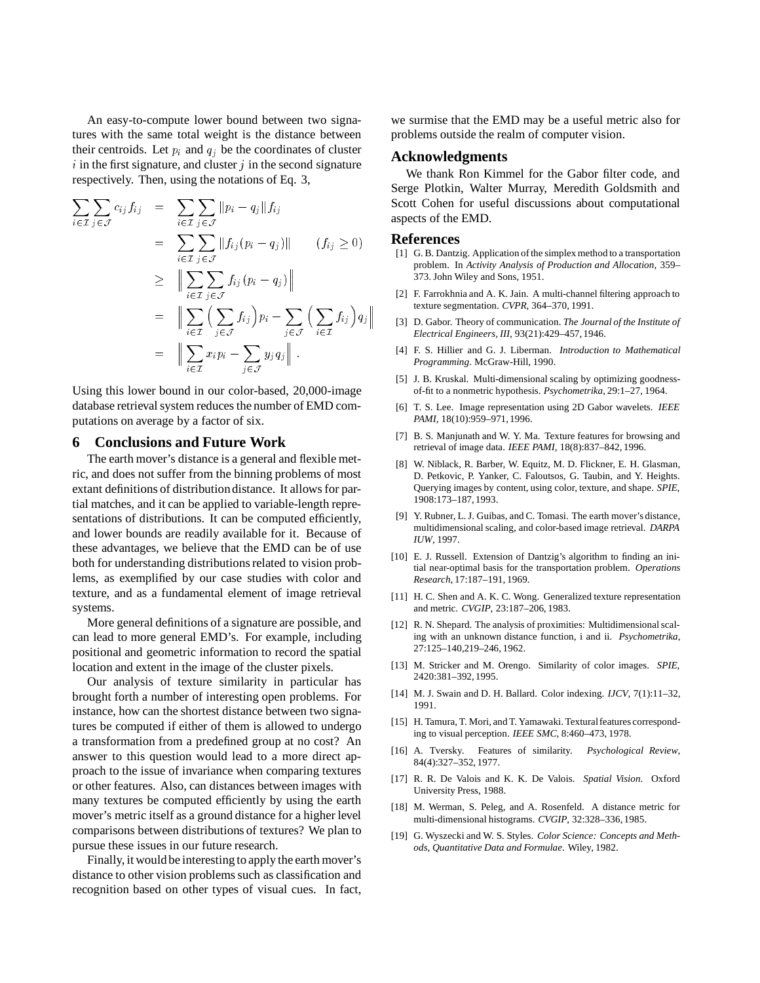An easy-to-compute lower bound between two signatures with the same total weight is the distance between their centroids. Let  $p_i$  and  $q_j$  be the coordinates of cluster  $i$  in the first signature, and cluster  $j$  in the second signature respectively. Then, using the notations of Eq. 3,

$$
\sum_{i \in \mathcal{I}} \sum_{j \in \mathcal{J}} c_{ij} f_{ij} = \sum_{i \in \mathcal{I}} \sum_{j \in \mathcal{J}} ||p_i - q_j|| f_{ij}
$$
\n
$$
= \sum_{i \in \mathcal{I}} \sum_{j \in \mathcal{J}} ||f_{ij}(p_i - q_j)|| \qquad (f_{ij} \ge 0)
$$
\n
$$
\ge \left\| \sum_{i \in \mathcal{I}} \sum_{j \in \mathcal{J}} f_{ij}(p_i - q_j) \right\|
$$
\n
$$
= \left\| \sum_{i \in \mathcal{I}} \sum_{j \in \mathcal{J}} f_{ij} \right) p_i - \sum_{j \in \mathcal{J}} \left( \sum_{i \in \mathcal{I}} f_{ij} \right) q_j \right\|
$$
\n
$$
= \left\| \sum_{i \in \mathcal{I}} x_i p_i - \sum_{j \in \mathcal{J}} y_j q_j \right\|.
$$

Using this lower bound in our color-based, 20,000-image database retrieval system reduces the number of EMD computations on average by a factor of six.

#### **6 Conclusions and Future Work**

The earth mover's distance is a general and flexible metric, and does not suffer from the binning problems of most extant definitions of distributiondistance. It allows for partial matches, and it can be applied to variable-length representations of distributions. It can be computed efficiently, and lower bounds are readily available for it. Because of these advantages, we believe that the EMD can be of use both for understanding distributions related to vision problems, as exemplified by our case studies with color and texture, and as a fundamental element of image retrieval systems.

More general definitions of a signature are possible, and can lead to more general EMD's. For example, including positional and geometric information to record the spatial location and extent in the image of the cluster pixels.

Our analysis of texture similarity in particular has brought forth a number of interesting open problems. For instance, how can the shortest distance between two signatures be computed if either of them is allowed to undergo a transformation from a predefined group at no cost? An answer to this question would lead to a more direct approach to the issue of invariance when comparing textures or other features. Also, can distances between images with many textures be computed efficiently by using the earth mover's metric itself as a ground distance for a higher level comparisons between distributions of textures? We plan to pursue these issues in our future research.

Finally, it would be interesting to apply the earth mover's distance to other vision problems such as classification and recognition based on other types of visual cues. In fact, we surmise that the EMD may be a useful metric also for problems outside the realm of computer vision.

## **Acknowledgments**

We thank Ron Kimmel for the Gabor filter code, and Serge Plotkin, Walter Murray, Meredith Goldsmith and Scott Cohen for useful discussions about computational aspects of the EMD.

#### **References**

- [1] G. B. Dantzig. Application of the simplex method to a transportation problem. In *Activity Analysis of Production and Allocation*, 359– 373. John Wiley and Sons, 1951.
- [2] F. Farrokhnia and A. K. Jain. A multi-channel filtering approach to texture segmentation. *CVPR*, 364–370, 1991.
- [3] D. Gabor. Theory of communication. *The Journal of the Institute of Electrical Engineers, III*, 93(21):429–457, 1946.
	- [4] F. S. Hillier and G. J. Liberman. *Introduction to Mathematical Programming*. McGraw-Hill, 1990.
	- [5] J. B. Kruskal. Multi-dimensional scaling by optimizing goodnessof-fit to a nonmetric hypothesis. *Psychometrika*, 29:1–27, 1964.
	- [6] T. S. Lee. Image representation using 2D Gabor wavelets. *IEEE PAMI*, 18(10):959–971, 1996.
	- [7] B. S. Manjunath and W. Y. Ma. Texture features for browsing and retrieval of image data. *IEEE PAMI*, 18(8):837–842, 1996.
	- [8] W. Niblack, R. Barber, W. Equitz, M. D. Flickner, E. H. Glasman, D. Petkovic, P. Yanker, C. Faloutsos, G. Taubin, and Y. Heights. Querying images by content, using color, texture, and shape. *SPIE*, 1908:173–187, 1993.
	- [9] Y. Rubner, L. J. Guibas, and C. Tomasi. The earth mover's distance, multidimensional scaling, and color-based image retrieval. *DARPA IUW*, 1997.
	- [10] E. J. Russell. Extension of Dantzig's algorithm to finding an initial near-optimal basis for the transportation problem. *Operations Research*, 17:187–191, 1969.
	- [11] H. C. Shen and A. K. C. Wong. Generalized texture representation and metric. *CVGIP*, 23:187–206, 1983.
	- [12] R. N. Shepard. The analysis of proximities: Multidimensional scaling with an unknown distance function, i and ii. *Psychometrika*, 27:125–140,219–246, 1962.
	- [13] M. Stricker and M. Orengo. Similarity of color images. *SPIE*, 2420:381–392, 1995.
	- [14] M. J. Swain and D. H. Ballard. Color indexing. *IJCV*, 7(1):11–32, 1991.
	- [15] H. Tamura, T. Mori, and T. Yamawaki. Textural features corresponding to visual perception. *IEEE SMC*, 8:460–473, 1978.
	- [16] A. Tversky. Features of similarity. *Psychological Review*, 84(4):327–352, 1977.
	- [17] R. R. De Valois and K. K. De Valois. *Spatial Vision*. Oxford University Press, 1988.
	- [18] M. Werman, S. Peleg, and A. Rosenfeld. A distance metric for multi-dimensional histograms. *CVGIP*, 32:328–336, 1985.
	- [19] G. Wyszecki and W. S. Styles. *Color Science: Concepts and Methods, Quantitative Data and Formulae*. Wiley, 1982.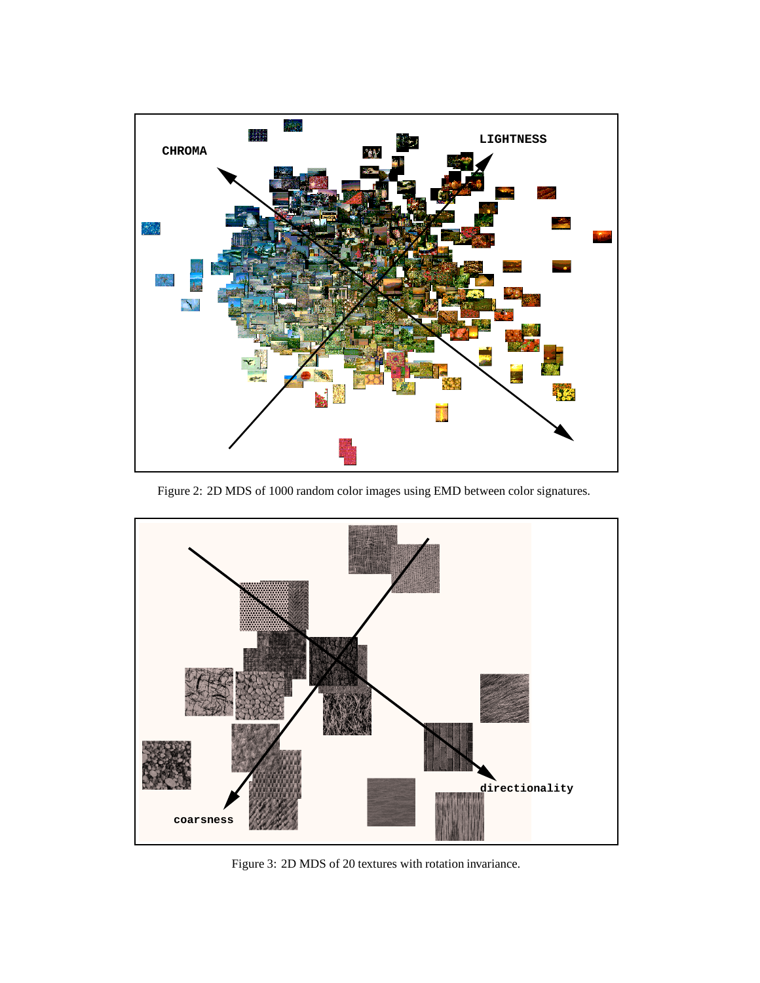

Figure 2: 2D MDS of 1000 random color images using EMD between color signatures.



Figure 3: 2D MDS of 20 textures with rotation invariance.